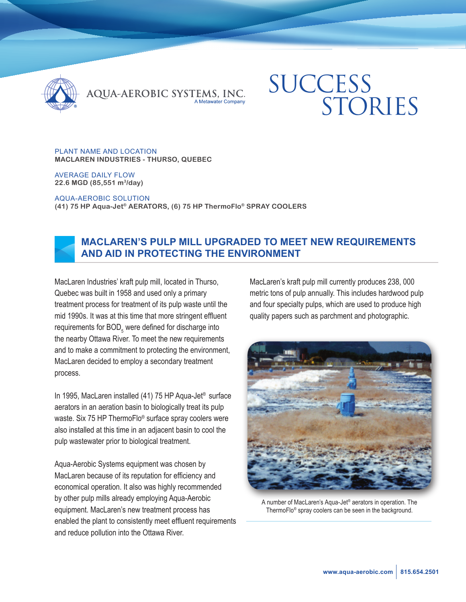

QUA-AEROBIC SYSTEMS, INC.

# **SUCCESS** STORIES

#### PLANT NAME AND LOCATION **MACLAREN INDUSTRIES - THURSO, QUEBEC**

AVERAGE DAILY FLOW **22.6 MGD (85,551 m3/day)**

AQUA-AEROBIC SOLUTION

**(41) 75 HP Aqua-Jet® AERATORS, (6) 75 HP ThermoFlo® SPRAY COOLERS**



## **MACLAREN'S PULP MILL UPGRADED TO MEET NEW REQUIREMENTS AND AID IN PROTECTING THE ENVIRONMENT**

MacLaren Industries' kraft pulp mill, located in Thurso, Quebec was built in 1958 and used only a primary treatment process for treatment of its pulp waste until the mid 1990s. It was at this time that more stringent effluent requirements for  $\mathsf{BOD}_5$  were defined for discharge into the nearby Ottawa River. To meet the new requirements and to make a commitment to protecting the environment, MacLaren decided to employ a secondary treatment process.

In 1995, MacLaren installed (41) 75 HP Aqua-Jet® surface aerators in an aeration basin to biologically treat its pulp waste. Six 75 HP ThermoFlo<sup>®</sup> surface spray coolers were also installed at this time in an adjacent basin to cool the pulp wastewater prior to biological treatment.

Aqua-Aerobic Systems equipment was chosen by MacLaren because of its reputation for efficiency and economical operation. It also was highly recommended by other pulp mills already employing Aqua-Aerobic equipment. MacLaren's new treatment process has enabled the plant to consistently meet effluent requirements and reduce pollution into the Ottawa River.

MacLaren's kraft pulp mill currently produces 238, 000 metric tons of pulp annually. This includes hardwood pulp and four specialty pulps, which are used to produce high quality papers such as parchment and photographic.



A number of MacLaren's Aqua-Jet® aerators in operation. The ThermoFlo® spray coolers can be seen in the background.